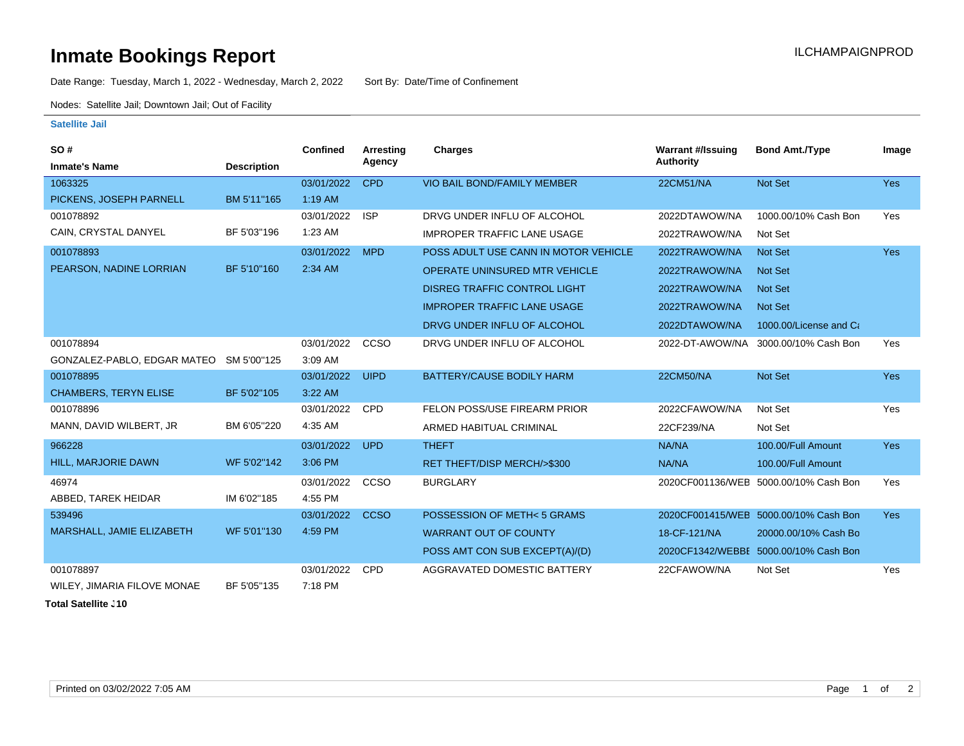## **Inmate Bookings Report Installation ILCHAMPAIGNPROD**

Date Range: Tuesday, March 1, 2022 - Wednesday, March 2, 2022 Sort By: Date/Time of Confinement

Nodes: Satellite Jail; Downtown Jail; Out of Facility

## **Satellite Jail**

| <b>SO#</b>                   |                    | <b>Confined</b> | Arresting   | Charges                              | <b>Warrant #/Issuing</b> | <b>Bond Amt./Type</b>                 | Image      |
|------------------------------|--------------------|-----------------|-------------|--------------------------------------|--------------------------|---------------------------------------|------------|
| <b>Inmate's Name</b>         | <b>Description</b> |                 | Agency      |                                      | <b>Authority</b>         |                                       |            |
| 1063325                      |                    | 03/01/2022      | <b>CPD</b>  | <b>VIO BAIL BOND/FAMILY MEMBER</b>   | 22CM51/NA                | Not Set                               | Yes        |
| PICKENS, JOSEPH PARNELL      | BM 5'11"165        | $1:19$ AM       |             |                                      |                          |                                       |            |
| 001078892                    |                    | 03/01/2022      | <b>ISP</b>  | DRVG UNDER INFLU OF ALCOHOL          | 2022DTAWOW/NA            | 1000.00/10% Cash Bon                  | Yes        |
| CAIN, CRYSTAL DANYEL         | BF 5'03"196        | 1:23 AM         |             | <b>IMPROPER TRAFFIC LANE USAGE</b>   | 2022TRAWOW/NA            | Not Set                               |            |
| 001078893                    |                    | 03/01/2022      | <b>MPD</b>  | POSS ADULT USE CANN IN MOTOR VEHICLE | 2022TRAWOW/NA            | Not Set                               | <b>Yes</b> |
| PEARSON, NADINE LORRIAN      | BF 5'10"160        | 2:34 AM         |             | <b>OPERATE UNINSURED MTR VEHICLE</b> | 2022TRAWOW/NA            | <b>Not Set</b>                        |            |
|                              |                    |                 |             | <b>DISREG TRAFFIC CONTROL LIGHT</b>  | 2022TRAWOW/NA            | <b>Not Set</b>                        |            |
|                              |                    |                 |             | <b>IMPROPER TRAFFIC LANE USAGE</b>   | 2022TRAWOW/NA            | <b>Not Set</b>                        |            |
|                              |                    |                 |             | DRVG UNDER INFLU OF ALCOHOL          | 2022DTAWOW/NA            | 1000.00/License and Ca                |            |
| 001078894                    |                    | 03/01/2022      | CCSO        | DRVG UNDER INFLU OF ALCOHOL          | 2022-DT-AWOW/NA          | 3000.00/10% Cash Bon                  | Yes        |
| GONZALEZ-PABLO, EDGAR MATEO  | SM 5'00"125        | 3:09 AM         |             |                                      |                          |                                       |            |
| 001078895                    |                    | 03/01/2022      | <b>UIPD</b> | BATTERY/CAUSE BODILY HARM            | 22CM50/NA                | Not Set                               | Yes        |
| <b>CHAMBERS, TERYN ELISE</b> | BF 5'02"105        | 3:22 AM         |             |                                      |                          |                                       |            |
| 001078896                    |                    | 03/01/2022      | <b>CPD</b>  | FELON POSS/USE FIREARM PRIOR         | 2022CFAWOW/NA            | Not Set                               | Yes        |
| MANN, DAVID WILBERT, JR      | BM 6'05"220        | 4:35 AM         |             | ARMED HABITUAL CRIMINAL              | 22CF239/NA               | Not Set                               |            |
| 966228                       |                    | 03/01/2022      | <b>UPD</b>  | <b>THEFT</b>                         | NA/NA                    | 100.00/Full Amount                    | <b>Yes</b> |
| <b>HILL, MARJORIE DAWN</b>   | WF 5'02"142        | 3:06 PM         |             | RET THEFT/DISP MERCH/>\$300          | NA/NA                    | 100.00/Full Amount                    |            |
| 46974                        |                    | 03/01/2022      | CCSO        | <b>BURGLARY</b>                      | 2020CF001136/WEB         | 5000.00/10% Cash Bon                  | Yes        |
| ABBED, TAREK HEIDAR          | IM 6'02"185        | 4:55 PM         |             |                                      |                          |                                       |            |
| 539496                       |                    | 03/01/2022      | <b>CCSO</b> | POSSESSION OF METH<5 GRAMS           |                          | 2020CF001415/WEB 5000.00/10% Cash Bon | <b>Yes</b> |
| MARSHALL, JAMIE ELIZABETH    | WF 5'01"130        | 4:59 PM         |             | <b>WARRANT OUT OF COUNTY</b>         | 18-CF-121/NA             | 20000.00/10% Cash Bo                  |            |
|                              |                    |                 |             | POSS AMT CON SUB EXCEPT(A)/(D)       |                          | 2020CF1342/WEBBE 5000.00/10% Cash Bon |            |
| 001078897                    |                    | 03/01/2022      | <b>CPD</b>  | AGGRAVATED DOMESTIC BATTERY          | 22CFAWOW/NA              | Not Set                               | Yes        |
| WILEY, JIMARIA FILOVE MONAE  | BF 5'05"135        | 7:18 PM         |             |                                      |                          |                                       |            |

**Total Satellite . 10**